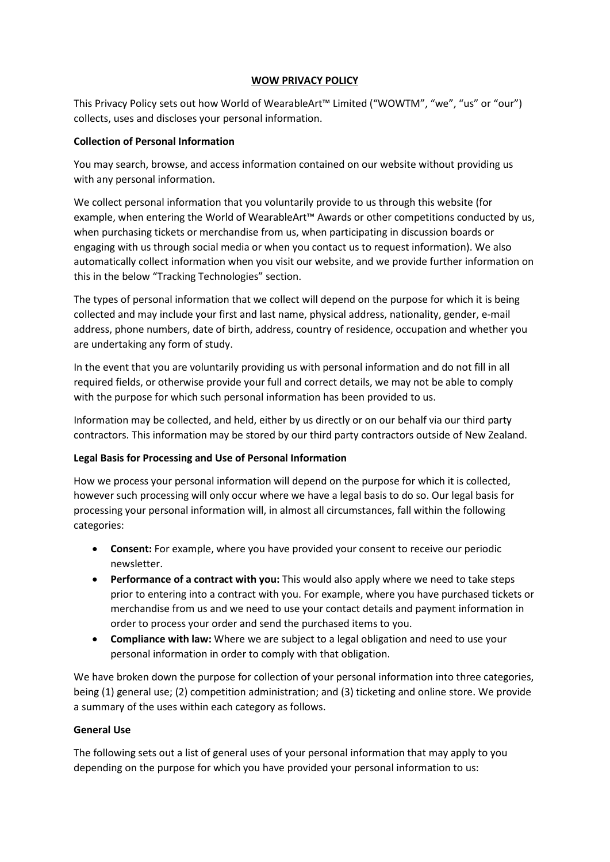## **WOW PRIVACY POLICY**

This Privacy Policy sets out how World of WearableArt™ Limited ("WOWTM", "we", "us" or "our") collects, uses and discloses your personal information.

## **Collection of Personal Information**

You may search, browse, and access information contained on our website without providing us with any personal information.

We collect personal information that you voluntarily provide to us through this website (for example, when entering the World of WearableArt™ Awards or other competitions conducted by us, when purchasing tickets or merchandise from us, when participating in discussion boards or engaging with us through social media or when you contact us to request information). We also automatically collect information when you visit our website, and we provide further information on this in the below "Tracking Technologies" section.

The types of personal information that we collect will depend on the purpose for which it is being collected and may include your first and last name, physical address, nationality, gender, e-mail address, phone numbers, date of birth, address, country of residence, occupation and whether you are undertaking any form of study.

In the event that you are voluntarily providing us with personal information and do not fill in all required fields, or otherwise provide your full and correct details, we may not be able to comply with the purpose for which such personal information has been provided to us.

Information may be collected, and held, either by us directly or on our behalf via our third party contractors. This information may be stored by our third party contractors outside of New Zealand.

# **Legal Basis for Processing and Use of Personal Information**

How we process your personal information will depend on the purpose for which it is collected, however such processing will only occur where we have a legal basis to do so. Our legal basis for processing your personal information will, in almost all circumstances, fall within the following categories:

- **Consent:** For example, where you have provided your consent to receive our periodic newsletter.
- **Performance of a contract with you:** This would also apply where we need to take steps prior to entering into a contract with you. For example, where you have purchased tickets or merchandise from us and we need to use your contact details and payment information in order to process your order and send the purchased items to you.
- **Compliance with law:** Where we are subject to a legal obligation and need to use your personal information in order to comply with that obligation.

We have broken down the purpose for collection of your personal information into three categories, being (1) general use; (2) competition administration; and (3) ticketing and online store. We provide a summary of the uses within each category as follows.

# **General Use**

The following sets out a list of general uses of your personal information that may apply to you depending on the purpose for which you have provided your personal information to us: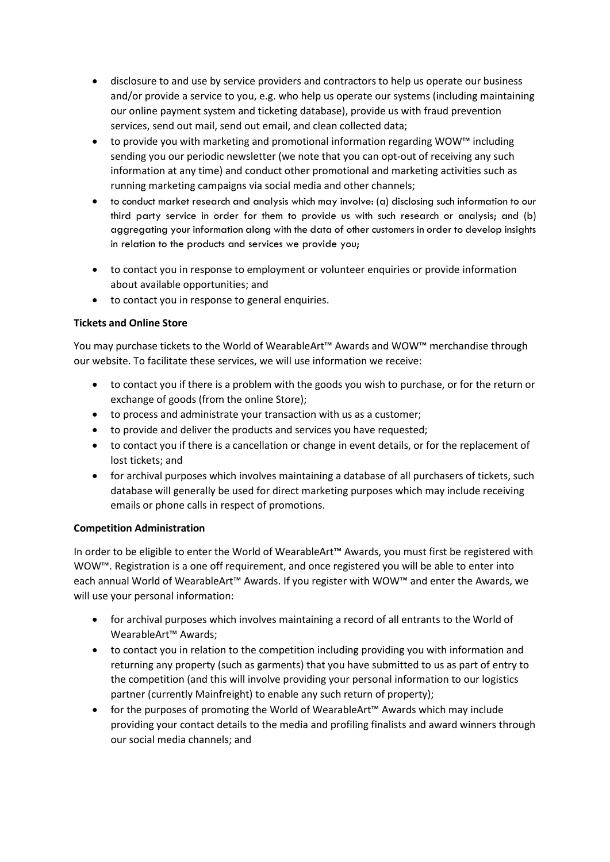- disclosure to and use by service providers and contractors to help us operate our business and/or provide a service to you, e.g. who help us operate our systems (including maintaining our online payment system and ticketing database), provide us with fraud prevention services, send out mail, send out email, and clean collected data;
- to provide you with marketing and promotional information regarding WOW™ including sending you our periodic newsletter (we note that you can opt-out of receiving any such information at any time) and conduct other promotional and marketing activities such as running marketing campaigns via social media and other channels;
- to conduct market research and analysis which may involve: (a) disclosing such information to our third party service in order for them to provide us with such research or analysis; and (b) aggregating your information along with the data of other customers in order to develop insights in relation to the products and services we provide you;
- to contact you in response to employment or volunteer enquiries or provide information about available opportunities; and
- to contact you in response to general enquiries.

# **Tickets and Online Store**

You may purchase tickets to the World of WearableArt™ Awards and WOW™ merchandise through our website. To facilitate these services, we will use information we receive:

- to contact you if there is a problem with the goods you wish to purchase, or for the return or exchange of goods (from the online Store);
- to process and administrate your transaction with us as a customer;
- to provide and deliver the products and services you have requested;
- to contact you if there is a cancellation or change in event details, or for the replacement of lost tickets; and
- for archival purposes which involves maintaining a database of all purchasers of tickets, such database will generally be used for direct marketing purposes which may include receiving emails or phone calls in respect of promotions.

# **Competition Administration**

In order to be eligible to enter the World of WearableArt™ Awards, you must first be registered with WOW™. Registration is a one off requirement, and once registered you will be able to enter into each annual World of WearableArt™ Awards. If you register with WOW™ and enter the Awards, we will use your personal information:

- for archival purposes which involves maintaining a record of all entrants to the World of WearableArt™ Awards;
- to contact you in relation to the competition including providing you with information and returning any property (such as garments) that you have submitted to us as part of entry to the competition (and this will involve providing your personal information to our logistics partner (currently Mainfreight) to enable any such return of property);
- for the purposes of promoting the World of WearableArt™ Awards which may include providing your contact details to the media and profiling finalists and award winners through our social media channels; and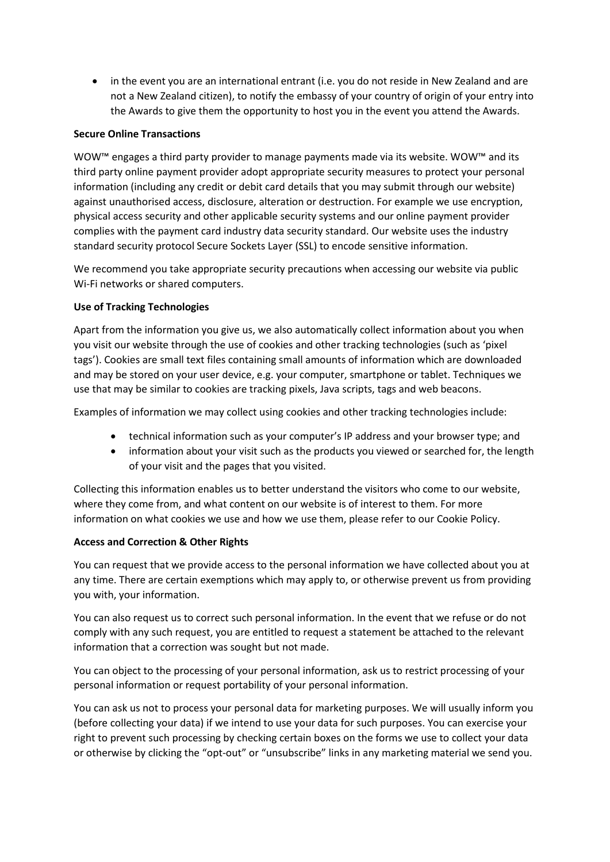• in the event you are an international entrant (i.e. you do not reside in New Zealand and are not a New Zealand citizen), to notify the embassy of your country of origin of your entry into the Awards to give them the opportunity to host you in the event you attend the Awards.

### **Secure Online Transactions**

WOW™ engages a third party provider to manage payments made via its website. WOW™ and its third party online payment provider adopt appropriate security measures to protect your personal information (including any credit or debit card details that you may submit through our website) against unauthorised access, disclosure, alteration or destruction. For example we use encryption, physical access security and other applicable security systems and our online payment provider complies with the payment card industry data security standard. Our website uses the industry standard security protocol Secure Sockets Layer (SSL) to encode sensitive information.

We recommend you take appropriate security precautions when accessing our website via public Wi-Fi networks or shared computers.

## **Use of Tracking Technologies**

Apart from the information you give us, we also automatically collect information about you when you visit our website through the use of cookies and other tracking technologies (such as 'pixel tags'). Cookies are small text files containing small amounts of information which are downloaded and may be stored on your user device, e.g. your computer, smartphone or tablet. Techniques we use that may be similar to cookies are tracking pixels, Java scripts, tags and web beacons.

Examples of information we may collect using cookies and other tracking technologies include:

- technical information such as your computer's IP address and your browser type; and
- information about your visit such as the products you viewed or searched for, the length of your visit and the pages that you visited.

Collecting this information enables us to better understand the visitors who come to our website, where they come from, and what content on our website is of interest to them. For more information on what cookies we use and how we use them, please refer to our Cookie Policy.

#### **Access and Correction & Other Rights**

You can request that we provide access to the personal information we have collected about you at any time. There are certain exemptions which may apply to, or otherwise prevent us from providing you with, your information.

You can also request us to correct such personal information. In the event that we refuse or do not comply with any such request, you are entitled to request a statement be attached to the relevant information that a correction was sought but not made.

You can object to the processing of your personal information, ask us to restrict processing of your personal information or request portability of your personal information.

You can ask us not to process your personal data for marketing purposes. We will usually inform you (before collecting your data) if we intend to use your data for such purposes. You can exercise your right to prevent such processing by checking certain boxes on the forms we use to collect your data or otherwise by clicking the "opt-out" or "unsubscribe" links in any marketing material we send you.